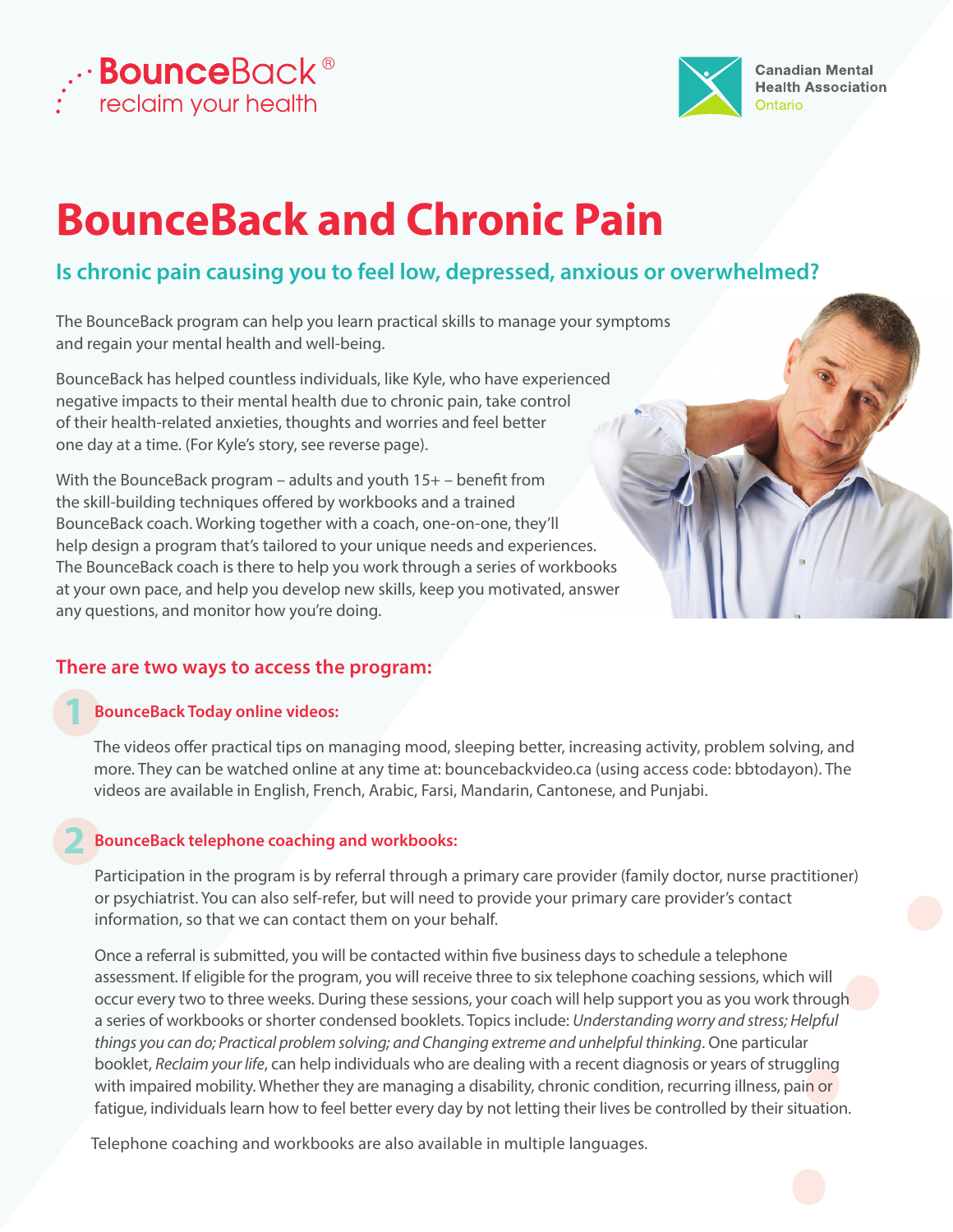



# **BounceBack and Chronic Pain**

# **Is chronic pain causing you to feel low, depressed, anxious or overwhelmed?**

The BounceBack program can help you learn practical skills to manage your symptoms and regain your mental health and well-being.

BounceBack has helped countless individuals, like Kyle, who have experienced negative impacts to their mental health due to chronic pain, take control of their health-related anxieties, thoughts and worries and feel better one day at a time. (For Kyle's story, see reverse page).

With the BounceBack program – adults and youth  $15+$  – benefit from the skill-building techniques offered by workbooks and a trained BounceBack coach. Working together with a coach, one-on-one, they'll help design a program that's tailored to your unique needs and experiences. The BounceBack coach is there to help you work through a series of workbooks at your own pace, and help you develop new skills, keep you motivated, answer any questions, and monitor how you're doing.

### **There are two ways to access the program:**

#### **BounceBack Today online videos:**

**1** 

The videos offer practical tips on managing mood, sleeping better, increasing activity, problem solving, and more. They can be watched online at any time at: bouncebackvideo.ca (using access code: bbtodayon). The videos are available in English, French, Arabic, Farsi, Mandarin, Cantonese, and Punjabi.

#### **2 BounceBack telephone coaching and workbooks:**

 Participation in the program is by referral through a primary care provider (family doctor, nurse practitioner) or psychiatrist. You can also self-refer, but will need to provide your primary care provider's contact information, so that we can contact them on your behalf.

Once a referral is submitted, you will be contacted within five business days to schedule a telephone assessment. If eligible for the program, you will receive three to six telephone coaching sessions, which will occur every two to three weeks. During these sessions, your coach will help support you as you work through a series of workbooks or shorter condensed booklets. Topics include: *Understanding worry and stress; Helpful things you can do; Practical problem solving; and Changing extreme and unhelpful thinking*. One particular booklet, *Reclaim your life*, can help individuals who are dealing with a recent diagnosis or years of struggling with impaired mobility. Whether they are managing a disability, chronic condition, recurring illness, pain or fatigue, individuals learn how to feel better every day by not letting their lives be controlled by their situation.

Telephone coaching and workbooks are also available in multiple languages.